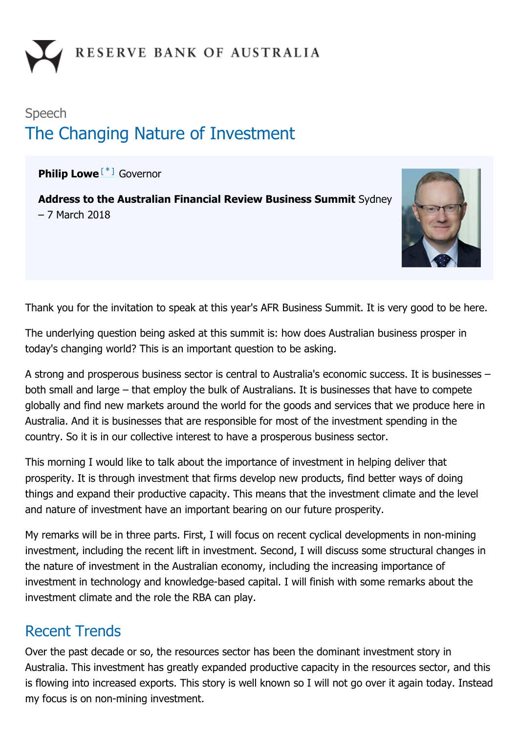# Speech The Changing Nature of Investment

<span id="page-0-0"></span>Philip Lowe<sup>[[\\*](#page-11-0)]</sup> Governor

Address to the Australian Financial Review Business Summit Sydney – 7 March 2018



Thank you for the invitation to speak at this year's AFR Business Summit. It is very good to be here.

The underlying question being asked at this summit is: how does Australian business prosper in today's changing world? This is an important question to be asking.

A strong and prosperous business sector is central to Australia's economic success. It is businesses – both small and large – that employ the bulk of Australians. It is businesses that have to compete globally and find new markets around the world for the goods and services that we produce here in Australia. And it is businesses that are responsible for most of the investment spending in the country. So it is in our collective interest to have a prosperous business sector.

This morning I would like to talk about the importance of investment in helping deliver that prosperity. It is through investment that firms develop new products, find better ways of doing things and expand their productive capacity. This means that the investment climate and the level and nature of investment have an important bearing on our future prosperity.

My remarks will be in three parts. First, I will focus on recent cyclical developments in non-mining investment, including the recent lift in investment. Second, I will discuss some structural changes in the nature of investment in the Australian economy, including the increasing importance of investment in technology and knowledge-based capital. I will finish with some remarks about the investment climate and the role the RBA can play.

### Recent Trends

Over the past decade or so, the resources sector has been the dominant investment story in Australia. This investment has greatly expanded productive capacity in the resources sector, and this is flowing into increased exports. This story is well known so I will not go over it again today. Instead my focus is on non-mining investment.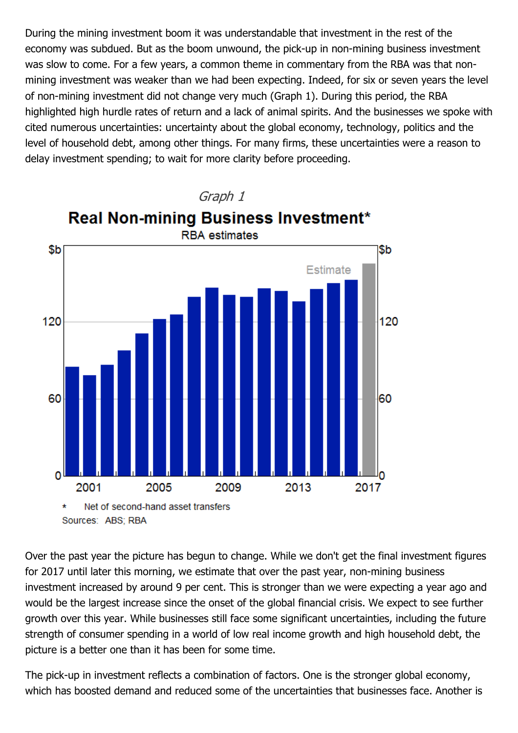During the mining investment boom it was understandable that investment in the rest of the economy was subdued. But as the boom unwound, the pick-up in non-mining business investment was slow to come. For a few years, a common theme in commentary from the RBA was that nonmining investment was weaker than we had been expecting. Indeed, for six or seven years the level of non-mining investment did not change very much (Graph 1). During this period, the RBA highlighted high hurdle rates of return and a lack of animal spirits. And the businesses we spoke with cited numerous uncertainties: uncertainty about the global economy, technology, politics and the level of household debt, among other things. For many firms, these uncertainties were a reason to delay investment spending; to wait for more clarity before proceeding.



Over the past year the picture has begun to change. While we don't get the final investment figures for 2017 until later this morning, we estimate that over the past year, non-mining business investment increased by around 9 per cent. This is stronger than we were expecting a year ago and would be the largest increase since the onset of the global financial crisis. We expect to see further growth over this year. While businesses still face some significant uncertainties, including the future strength of consumer spending in a world of low real income growth and high household debt, the picture is a better one than it has been for some time.

The pick-up in investment reflects a combination of factors. One is the stronger global economy, which has boosted demand and reduced some of the uncertainties that businesses face. Another is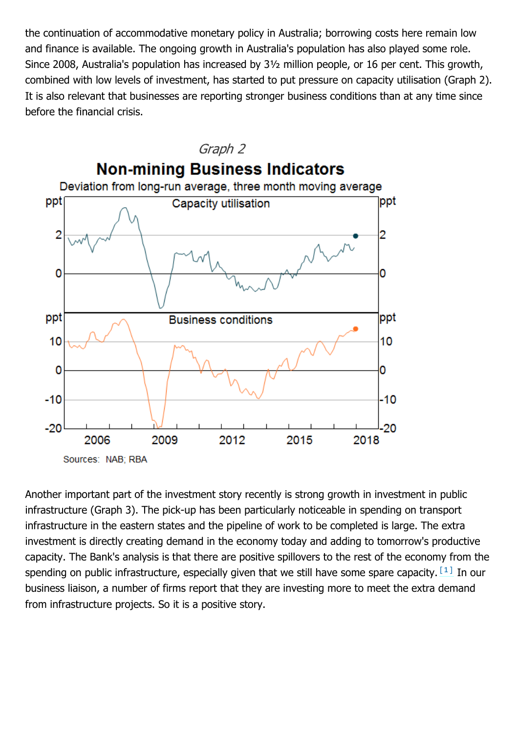the continuation of accommodative monetary policy in Australia; borrowing costs here remain low and finance is available. The ongoing growth in Australia's population has also played some role. Since 2008, Australia's population has increased by 3½ million people, or 16 per cent. This growth, combined with low levels of investment, has started to put pressure on capacity utilisation (Graph 2). It is also relevant that businesses are reporting stronger business conditions than at any time since before the financial crisis.



<span id="page-2-0"></span>Another important part of the investment story recently is strong growth in investment in public infrastructure (Graph 3). The pick-up has been particularly noticeable in spending on transport infrastructure in the eastern states and the pipeline of work to be completed is large. The extra investment is directly creating demand in the economy today and adding to tomorrow's productive capacity. The Bank's analysis is that there are positive spillovers to the rest of the economy from the spending on public infrastructure, especially given that we still have some spare capacity.  $\left[\begin{smallmatrix} 1 & 1 \end{smallmatrix}\right]$  In our business liaison, a number of firms report that they are investing more to meet the extra demand from infrastructure projects. So it is a positive story.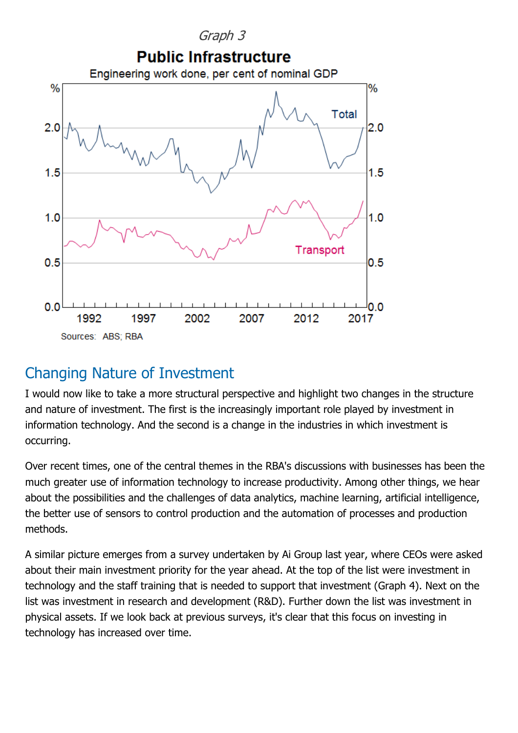

### Changing Nature of Investment

I would now like to take a more structural perspective and highlight two changes in the structure and nature of investment. The first is the increasingly important role played by investment in information technology. And the second is a change in the industries in which investment is occurring.

Over recent times, one of the central themes in the RBA's discussions with businesses has been the much greater use of information technology to increase productivity. Among other things, we hear about the possibilities and the challenges of data analytics, machine learning, artificial intelligence, the better use of sensors to control production and the automation of processes and production methods.

A similar picture emerges from a survey undertaken by Ai Group last year, where CEOs were asked about their main investment priority for the year ahead. At the top of the list were investment in technology and the staff training that is needed to support that investment (Graph 4). Next on the list was investment in research and development (R&D). Further down the list was investment in physical assets. If we look back at previous surveys, it's clear that this focus on investing in technology has increased over time.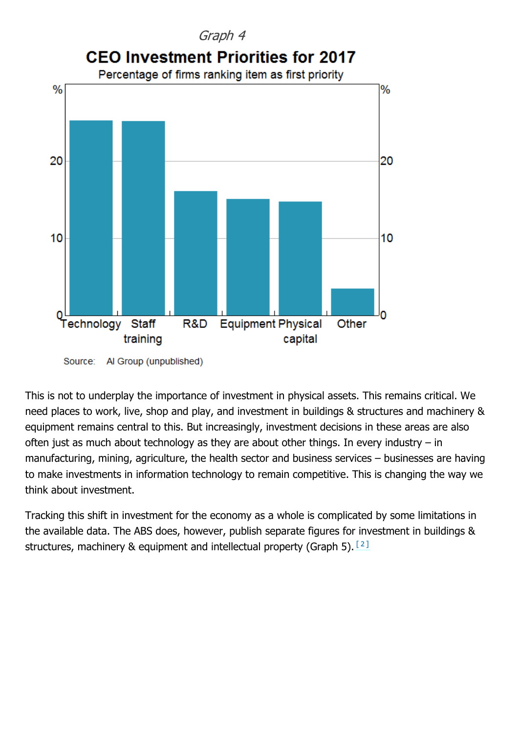

Al Group (unpublished) Source:

This is not to underplay the importance of investment in physical assets. This remains critical. We need places to work, live, shop and play, and investment in buildings & structures and machinery & equipment remains central to this. But increasingly, investment decisions in these areas are also often just as much about technology as they are about other things. In every industry  $-$  in manufacturing, mining, agriculture, the health sector and business services – businesses are having to make investments in information technology to remain competitive. This is changing the way we think about investment.

<span id="page-4-0"></span>Tracking this shift in investment for the economy as a whole is complicated by some limitations in the available data. The ABS does, however, publish separate figures for investment in buildings & structures, machinery & equipment and intellectual property (Graph 5).  $[2]$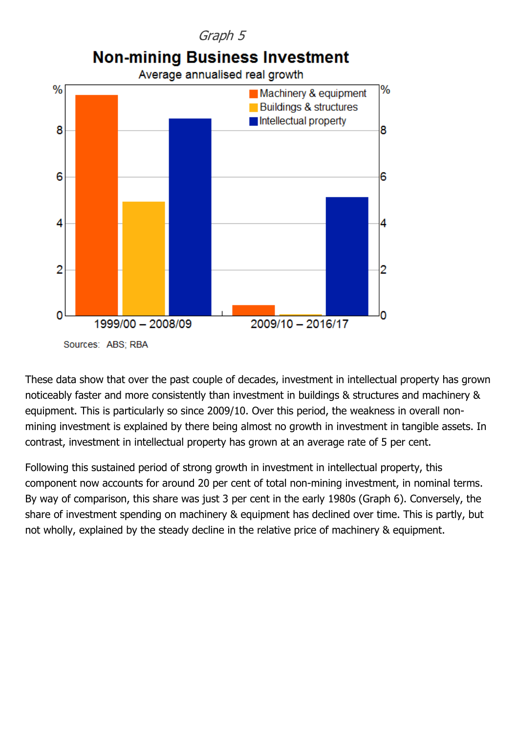

These data show that over the past couple of decades, investment in intellectual property has grown noticeably faster and more consistently than investment in buildings & structures and machinery & equipment. This is particularly so since 2009/10. Over this period, the weakness in overall nonmining investment is explained by there being almost no growth in investment in tangible assets. In contrast, investment in intellectual property has grown at an average rate of 5 per cent.

Following this sustained period of strong growth in investment in intellectual property, this component now accounts for around 20 per cent of total non-mining investment, in nominal terms. By way of comparison, this share was just 3 per cent in the early 1980s (Graph 6). Conversely, the share of investment spending on machinery & equipment has declined over time. This is partly, but not wholly, explained by the steady decline in the relative price of machinery & equipment.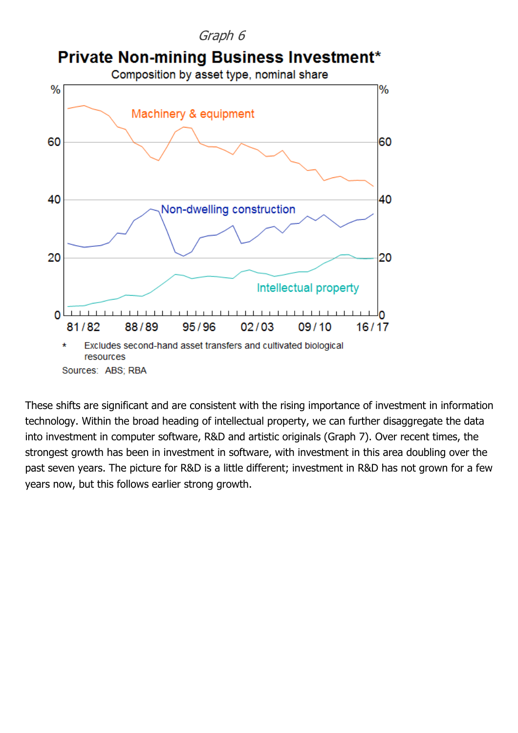

These shifts are significant and are consistent with the rising importance of investment in information technology. Within the broad heading of intellectual property, we can further disaggregate the data into investment in computer software, R&D and artistic originals (Graph 7). Over recent times, the strongest growth has been in investment in software, with investment in this area doubling over the past seven years. The picture for R&D is a little different; investment in R&D has not grown for a few years now, but this follows earlier strong growth.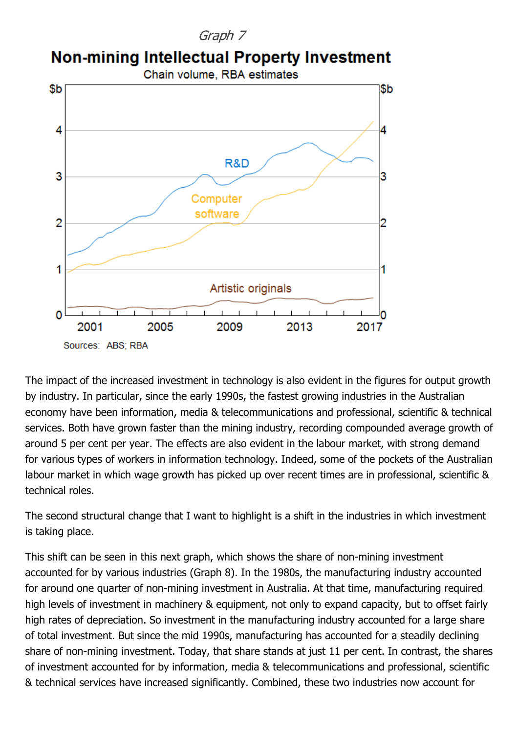#### Graph 7

## **Non-mining Intellectual Property Investment**



The impact of the increased investment in technology is also evident in the figures for output growth by industry. In particular, since the early 1990s, the fastest growing industries in the Australian economy have been information, media & telecommunications and professional, scientific & technical services. Both have grown faster than the mining industry, recording compounded average growth of around 5 per cent per year. The effects are also evident in the labour market, with strong demand for various types of workers in information technology. Indeed, some of the pockets of the Australian labour market in which wage growth has picked up over recent times are in professional, scientific & technical roles.

The second structural change that I want to highlight is a shift in the industries in which investment is taking place.

This shift can be seen in this next graph, which shows the share of non-mining investment accounted for by various industries (Graph 8). In the 1980s, the manufacturing industry accounted for around one quarter of non-mining investment in Australia. At that time, manufacturing required high levels of investment in machinery & equipment, not only to expand capacity, but to offset fairly high rates of depreciation. So investment in the manufacturing industry accounted for a large share of total investment. But since the mid 1990s, manufacturing has accounted for a steadily declining share of non-mining investment. Today, that share stands at just 11 per cent. In contrast, the shares of investment accounted for by information, media & telecommunications and professional, scientific & technical services have increased significantly. Combined, these two industries now account for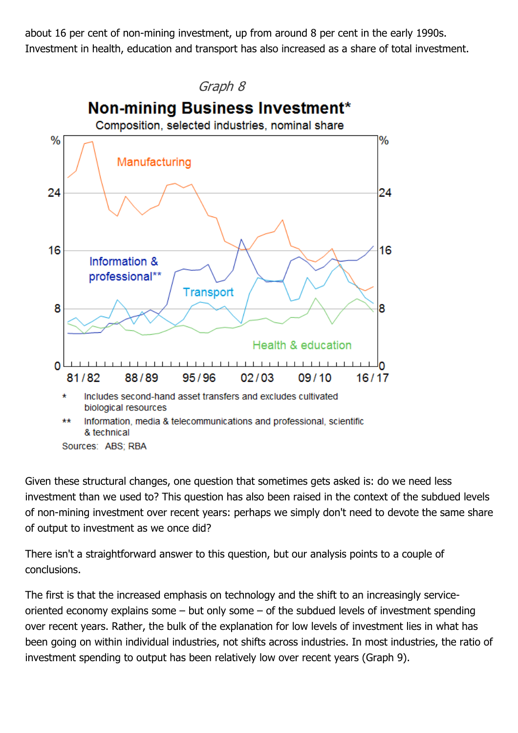about 16 per cent of non-mining investment, up from around 8 per cent in the early 1990s. Investment in health, education and transport has also increased as a share of total investment.



Given these structural changes, one question that sometimes gets asked is: do we need less investment than we used to? This question has also been raised in the context of the subdued levels of non-mining investment over recent years: perhaps we simply don't need to devote the same share of output to investment as we once did?

There isn't a straightforward answer to this question, but our analysis points to a couple of conclusions.

The first is that the increased emphasis on technology and the shift to an increasingly serviceoriented economy explains some – but only some – of the subdued levels of investment spending over recent years. Rather, the bulk of the explanation for low levels of investment lies in what has been going on within individual industries, not shifts across industries. In most industries, the ratio of investment spending to output has been relatively low over recent years (Graph 9).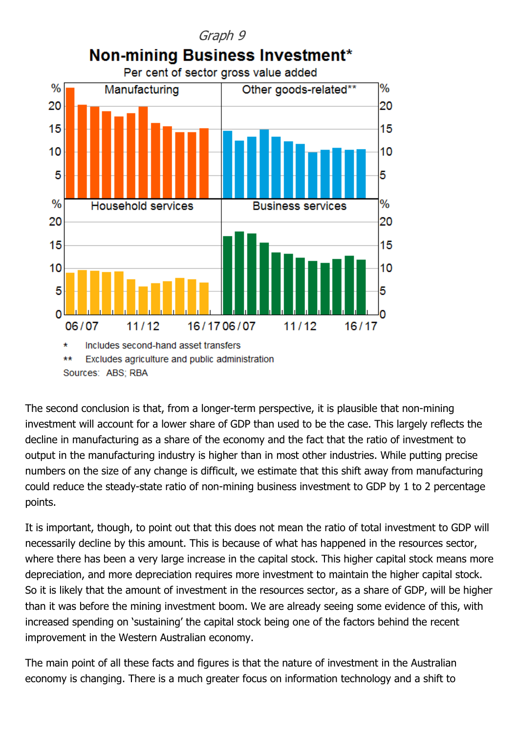

The second conclusion is that, from a longer-term perspective, it is plausible that non-mining investment will account for a lower share of GDP than used to be the case. This largely reflects the decline in manufacturing as a share of the economy and the fact that the ratio of investment to output in the manufacturing industry is higher than in most other industries. While putting precise numbers on the size of any change is difficult, we estimate that this shift away from manufacturing could reduce the steady-state ratio of non-mining business investment to GDP by 1 to 2 percentage points.

It is important, though, to point out that this does not mean the ratio of total investment to GDP will necessarily decline by this amount. This is because of what has happened in the resources sector, where there has been a very large increase in the capital stock. This higher capital stock means more depreciation, and more depreciation requires more investment to maintain the higher capital stock. So it is likely that the amount of investment in the resources sector, as a share of GDP, will be higher than it was before the mining investment boom. We are already seeing some evidence of this, with increased spending on 'sustaining' the capital stock being one of the factors behind the recent improvement in the Western Australian economy.

The main point of all these facts and figures is that the nature of investment in the Australian economy is changing. There is a much greater focus on information technology and a shift to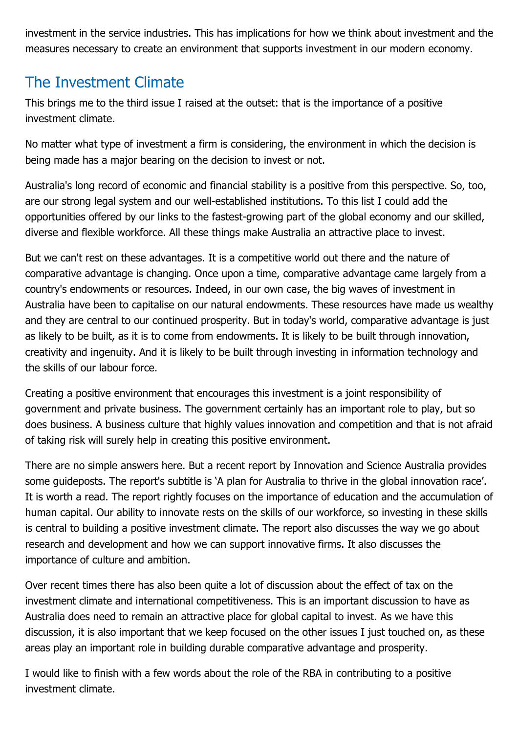investment in the service industries. This has implications for how we think about investment and the measures necessary to create an environment that supports investment in our modern economy.

### The Investment Climate

This brings me to the third issue I raised at the outset: that is the importance of a positive investment climate.

No matter what type of investment a firm is considering, the environment in which the decision is being made has a major bearing on the decision to invest or not.

Australia's long record of economic and financial stability is a positive from this perspective. So, too, are our strong legal system and our well-established institutions. To this list I could add the opportunities offered by our links to the fastest-growing part of the global economy and our skilled, diverse and flexible workforce. All these things make Australia an attractive place to invest.

But we can't rest on these advantages. It is a competitive world out there and the nature of comparative advantage is changing. Once upon a time, comparative advantage came largely from a country's endowments or resources. Indeed, in our own case, the big waves of investment in Australia have been to capitalise on our natural endowments. These resources have made us wealthy and they are central to our continued prosperity. But in today's world, comparative advantage is just as likely to be built, as it is to come from endowments. It is likely to be built through innovation, creativity and ingenuity. And it is likely to be built through investing in information technology and the skills of our labour force.

Creating a positive environment that encourages this investment is a joint responsibility of government and private business. The government certainly has an important role to play, but so does business. A business culture that highly values innovation and competition and that is not afraid of taking risk will surely help in creating this positive environment.

There are no simple answers here. But a recent report by Innovation and Science Australia provides some guideposts. The report's subtitle is 'A plan for Australia to thrive in the global innovation race'. It is worth a read. The report rightly focuses on the importance of education and the accumulation of human capital. Our ability to innovate rests on the skills of our workforce, so investing in these skills is central to building a positive investment climate. The report also discusses the way we go about research and development and how we can support innovative firms. It also discusses the importance of culture and ambition.

Over recent times there has also been quite a lot of discussion about the effect of tax on the investment climate and international competitiveness. This is an important discussion to have as Australia does need to remain an attractive place for global capital to invest. As we have this discussion, it is also important that we keep focused on the other issues I just touched on, as these areas play an important role in building durable comparative advantage and prosperity.

I would like to finish with a few words about the role of the RBA in contributing to a positive investment climate.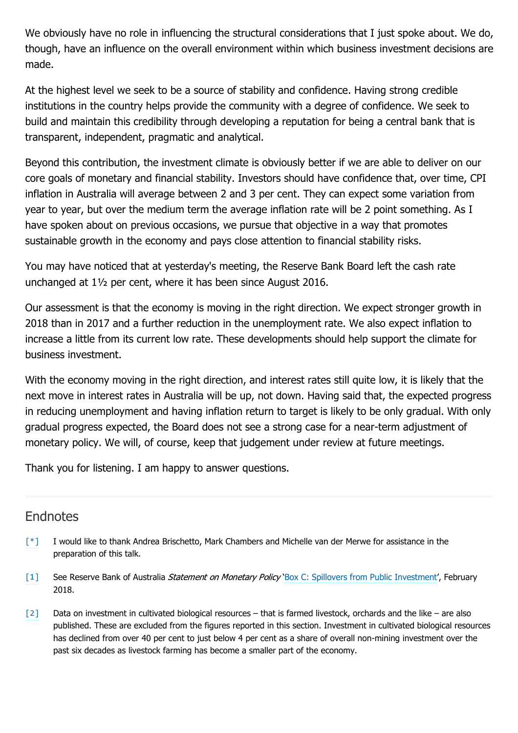We obviously have no role in influencing the structural considerations that I just spoke about. We do, though, have an influence on the overall environment within which business investment decisions are made.

At the highest level we seek to be a source of stability and confidence. Having strong credible institutions in the country helps provide the community with a degree of confidence. We seek to build and maintain this credibility through developing a reputation for being a central bank that is transparent, independent, pragmatic and analytical.

Beyond this contribution, the investment climate is obviously better if we are able to deliver on our core goals of monetary and financial stability. Investors should have confidence that, over time, CPI inflation in Australia will average between 2 and 3 per cent. They can expect some variation from year to year, but over the medium term the average inflation rate will be 2 point something. As I have spoken about on previous occasions, we pursue that objective in a way that promotes sustainable growth in the economy and pays close attention to financial stability risks.

You may have noticed that at yesterday's meeting, the Reserve Bank Board left the cash rate unchanged at 1½ per cent, where it has been since August 2016.

Our assessment is that the economy is moving in the right direction. We expect stronger growth in 2018 than in 2017 and a further reduction in the unemployment rate. We also expect inflation to increase a little from its current low rate. These developments should help support the climate for business investment.

With the economy moving in the right direction, and interest rates still quite low, it is likely that the next move in interest rates in Australia will be up, not down. Having said that, the expected progress in reducing unemployment and having inflation return to target is likely to be only gradual. With only gradual progress expected, the Board does not see a strong case for a near-term adjustment of monetary policy. We will, of course, keep that judgement under review at future meetings.

Thank you for listening. I am happy to answer questions.

### **Endnotes**

- <span id="page-11-0"></span>I would like to thank Andrea Brischetto, Mark Chambers and Michelle van der Merwe for assistance in the preparation of this talk. [\[\\*\]](#page-0-0)
- <span id="page-11-1"></span>See Reserve Bank of Australia Statement on Monetary Policy '[Box C: Spillovers from Public Investment'](http://www.rba.gov.au/publications/smp/2018/feb/box-c-spillovers-from-public-investment.html), February 2018. [\[1\]](#page-2-0)
- <span id="page-11-2"></span>Data on investment in cultivated biological resources – that is farmed livestock, orchards and the like – are also published. These are excluded from the figures reported in this section. Investment in cultivated biological resources has declined from over 40 per cent to just below 4 per cent as a share of overall non-mining investment over the past six decades as livestock farming has become a smaller part of the economy. [\[2\]](#page-4-0)